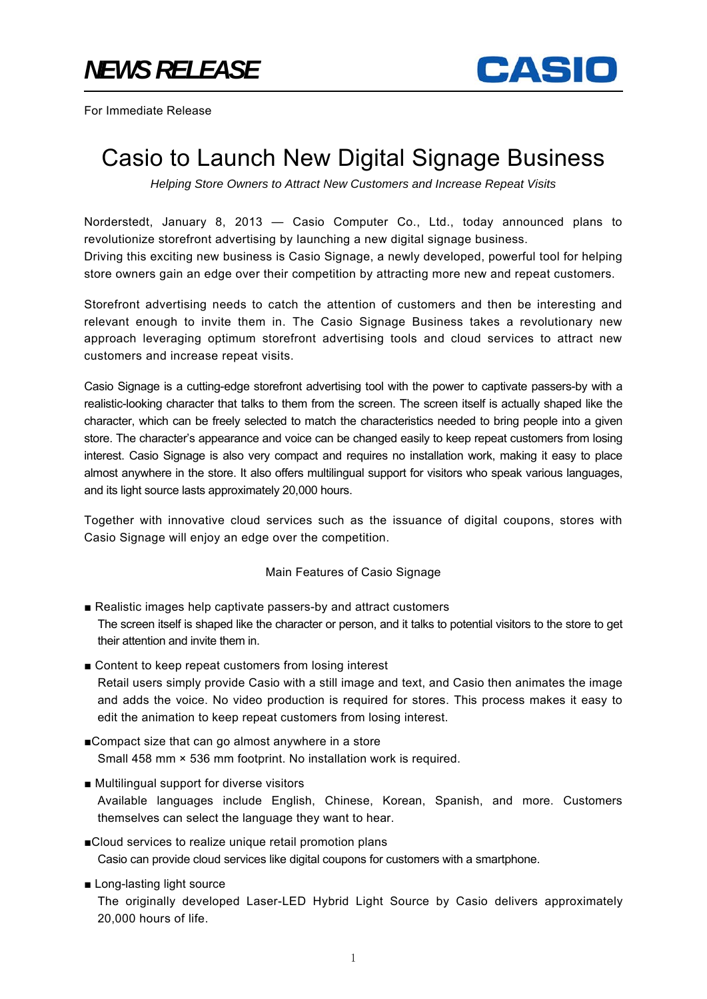

For Immediate Release

## Casio to Launch New Digital Signage Business

*Helping Store Owners to Attract New Customers and Increase Repeat Visits* 

Norderstedt, January 8, 2013 — Casio Computer Co., Ltd., today announced plans to revolutionize storefront advertising by launching a new digital signage business. Driving this exciting new business is Casio Signage, a newly developed, powerful tool for helping store owners gain an edge over their competition by attracting more new and repeat customers.

Storefront advertising needs to catch the attention of customers and then be interesting and relevant enough to invite them in. The Casio Signage Business takes a revolutionary new approach leveraging optimum storefront advertising tools and cloud services to attract new customers and increase repeat visits.

Casio Signage is a cutting-edge storefront advertising tool with the power to captivate passers-by with a realistic-looking character that talks to them from the screen. The screen itself is actually shaped like the character, which can be freely selected to match the characteristics needed to bring people into a given store. The character's appearance and voice can be changed easily to keep repeat customers from losing interest. Casio Signage is also very compact and requires no installation work, making it easy to place almost anywhere in the store. It also offers multilingual support for visitors who speak various languages, and its light source lasts approximately 20,000 hours.

Together with innovative cloud services such as the issuance of digital coupons, stores with Casio Signage will enjoy an edge over the competition.

## Main Features of Casio Signage

- Realistic images help captivate passers-by and attract customers The screen itself is shaped like the character or person, and it talks to potential visitors to the store to get their attention and invite them in.
- Content to keep repeat customers from losing interest Retail users simply provide Casio with a still image and text, and Casio then animates the image and adds the voice. No video production is required for stores. This process makes it easy to edit the animation to keep repeat customers from losing interest.
- ■Compact size that can go almost anywhere in a store Small 458 mm × 536 mm footprint. No installation work is required.
- Multilingual support for diverse visitors Available languages include English, Chinese, Korean, Spanish, and more. Customers themselves can select the language they want to hear.
- ■Cloud services to realize unique retail promotion plans Casio can provide cloud services like digital coupons for customers with a smartphone.
- Long-lasting light source The originally developed Laser-LED Hybrid Light Source by Casio delivers approximately 20,000 hours of life.